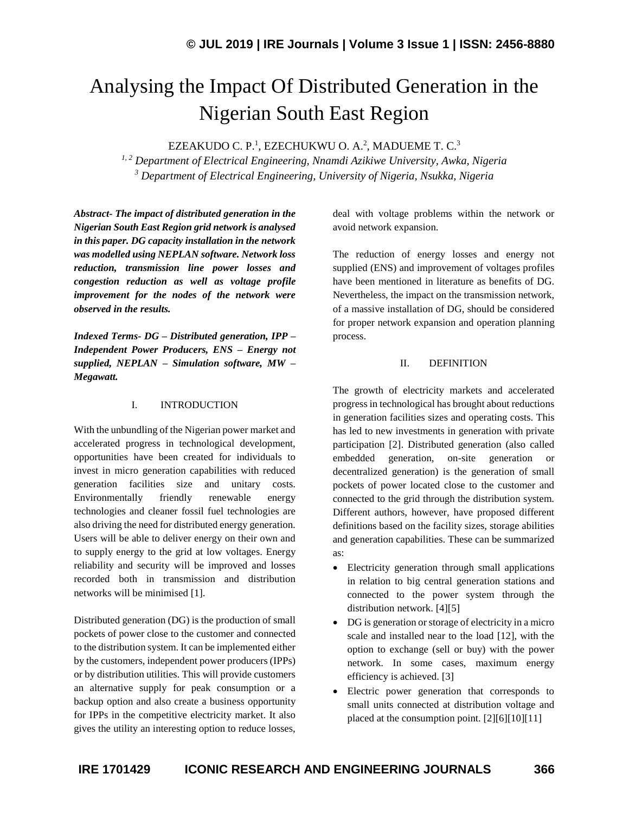# Analysing the Impact Of Distributed Generation in the Nigerian South East Region

EZEAKUDO C. P.<sup>1</sup>, EZECHUKWU O. A.<sup>2</sup>, MADUEME T. C.<sup>3</sup>

*1, 2 Department of Electrical Engineering, Nnamdi Azikiwe University, Awka, Nigeria <sup>3</sup> Department of Electrical Engineering, University of Nigeria, Nsukka, Nigeria*

*Abstract- The impact of distributed generation in the Nigerian South East Region grid network is analysed in this paper. DG capacity installation in the network was modelled using NEPLAN software. Network loss reduction, transmission line power losses and congestion reduction as well as voltage profile improvement for the nodes of the network were observed in the results.*

*Indexed Terms- DG – Distributed generation, IPP – Independent Power Producers, ENS – Energy not supplied, NEPLAN – Simulation software, MW – Megawatt.*

#### I. INTRODUCTION

With the unbundling of the Nigerian power market and accelerated progress in technological development, opportunities have been created for individuals to invest in micro generation capabilities with reduced generation facilities size and unitary costs. Environmentally friendly renewable energy technologies and cleaner fossil fuel technologies are also driving the need for distributed energy generation. Users will be able to deliver energy on their own and to supply energy to the grid at low voltages. Energy reliability and security will be improved and losses recorded both in transmission and distribution networks will be minimised [1].

Distributed generation (DG) is the production of small pockets of power close to the customer and connected to the distribution system. It can be implemented either by the customers, independent power producers (IPPs) or by distribution utilities. This will provide customers an alternative supply for peak consumption or a backup option and also create a business opportunity for IPPs in the competitive electricity market. It also gives the utility an interesting option to reduce losses,

deal with voltage problems within the network or avoid network expansion.

The reduction of energy losses and energy not supplied (ENS) and improvement of voltages profiles have been mentioned in literature as benefits of DG. Nevertheless, the impact on the transmission network, of a massive installation of DG, should be considered for proper network expansion and operation planning process.

## II. DEFINITION

The growth of electricity markets and accelerated progress in technological has brought about reductions in generation facilities sizes and operating costs. This has led to new investments in generation with private participation [2]. Distributed generation (also called embedded generation, on-site generation or decentralized generation) is the generation of small pockets of power located close to the customer and connected to the grid through the distribution system. Different authors, however, have proposed different definitions based on the facility sizes, storage abilities and generation capabilities. These can be summarized as:

- Electricity generation through small applications in relation to big central generation stations and connected to the power system through the distribution network. [4][5]
- DG is generation or storage of electricity in a micro scale and installed near to the load [12], with the option to exchange (sell or buy) with the power network. In some cases, maximum energy efficiency is achieved. [3]
- Electric power generation that corresponds to small units connected at distribution voltage and placed at the consumption point. [2][6][10][11]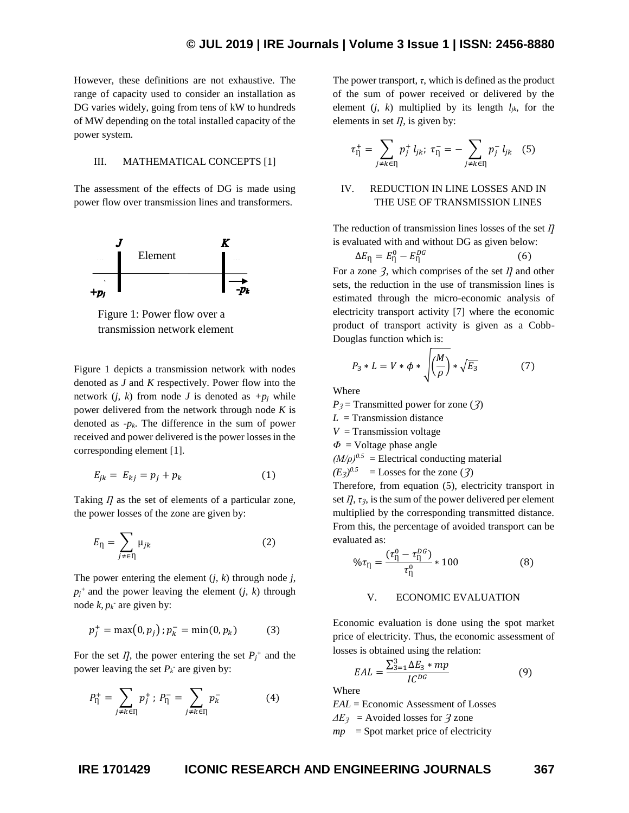However, these definitions are not exhaustive. The range of capacity used to consider an installation as DG varies widely, going from tens of kW to hundreds of MW depending on the total installed capacity of the power system.

#### III. MATHEMATICAL CONCEPTS [1]

The assessment of the effects of DG is made using power flow over transmission lines and transformers.



Figure 1: Power flow over a transmission network element

Figure 1 depicts a transmission network with nodes denoted as *J* and *K* respectively. Power flow into the network  $(i, k)$  from node *J* is denoted as  $+p_i$  while power delivered from the network through node *K* is denoted as *-pk*. The difference in the sum of power received and power delivered is the power losses in the corresponding element [1].

$$
E_{jk} = E_{kj} = p_j + p_k \tag{1}
$$

Taking *I* as the set of elements of a particular zone, the power losses of the zone are given by:

$$
E_{\eta} = \sum_{j \neq \in \eta} \mu_{jk} \tag{2}
$$

The power entering the element  $(j, k)$  through node  $j$ ,  $p_j$ <sup>+</sup> and the power leaving the element (*j, k*) through node  $k, p_k$ <sup>-</sup> are given by:

$$
p_j^+ = \max(0, p_j) ; p_k^- = \min(0, p_k)
$$
 (3)

For the set  $I$ , the power entering the set  $P_j^+$  and the power leaving the set  $P_k$ <sup>-</sup> are given by:

$$
P_{\Pi}^{+} = \sum_{j \neq k \in \Pi} p_{j}^{+} ; P_{\Pi}^{-} = \sum_{j \neq k \in \Pi} p_{k}^{-} \tag{4}
$$

The power transport,  $\tau$ , which is defined as the product of the sum of power received or delivered by the element  $(j, k)$  multiplied by its length  $l_{jk}$ , for the elements in set  $\eta$ , is given by:

$$
\tau_{\eta}^{+} = \sum_{j \neq k \in \eta} p_{j}^{+} l_{jk}; \ \tau_{\eta}^{-} = - \sum_{j \neq k \in \eta} p_{j}^{-} l_{jk} \quad (5)
$$

## IV. REDUCTION IN LINE LOSSES AND IN THE USE OF TRANSMISSION LINES

The reduction of transmission lines losses of the set  $\Pi$ is evaluated with and without DG as given below:

$$
\Delta E_{\eta} = E_{\eta}^{0} - E_{\eta}^{DG}
$$
 (6)  
For a zone 3, which comprises of the set *II* and other  
sets, the reduction in the use of transmission lines is  
estimated through the micro-economic analysis of  
electricity transport activity [7] where the economic  
product of transport activity is given as a Cobb-  
Douglas function which is:

$$
P_3 * L = V * \phi * \sqrt{\left(\frac{M}{\rho}\right) * \sqrt{E_3}}
$$
 (7)

Where

*P*<sup> $3$ </sup> = Transmitted power for zone (*3*)

 $L =$ Transmission distance

 $V =$ Transmission voltage

 $\Phi$  = Voltage phase angle

 $(M/\rho)^{0.5}$  = Electrical conducting material

 $(E_3)^{0.5}$  = Losses for the zone (3)

Therefore, from equation (5), electricity transport in set  $I$ ,  $\tau$ <sup>3</sup>, is the sum of the power delivered per element multiplied by the corresponding transmitted distance. From this, the percentage of avoided transport can be evaluated as:

$$
\% \tau_{\eta} = \frac{(\tau_{\eta}^{0} - \tau_{\eta}^{0G})}{\tau_{\eta}^{0}} * 100
$$
 (8)

#### V. ECONOMIC EVALUATION

Economic evaluation is done using the spot market price of electricity. Thus, the economic assessment of losses is obtained using the relation:

$$
EAL = \frac{\sum_{3=1}^{3} \Delta E_3 * mp}{IC^{DG}} \tag{9}
$$

Where

*EAL* = Economic Assessment of Losses

 $\Delta E_3$  = Avoided losses for  $\overline{3}$  zone

 $mp =$  Spot market price of electricity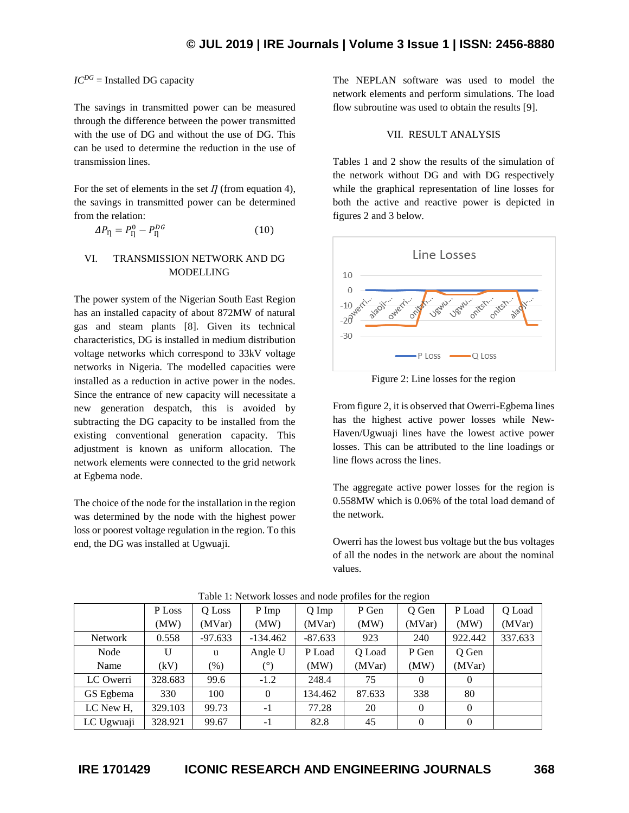## $IC^{DG}$  = Installed DG capacity

The savings in transmitted power can be measured through the difference between the power transmitted with the use of DG and without the use of DG. This can be used to determine the reduction in the use of transmission lines.

For the set of elements in the set  $\eta$  (from equation 4), the savings in transmitted power can be determined from the relation:

$$
\Delta P_{\eta} = P_{\eta}^0 - P_{\eta}^{DG} \tag{10}
$$

## VI. TRANSMISSION NETWORK AND DG MODELLING

The power system of the Nigerian South East Region has an installed capacity of about 872MW of natural gas and steam plants [8]. Given its technical characteristics, DG is installed in medium distribution voltage networks which correspond to 33kV voltage networks in Nigeria. The modelled capacities were installed as a reduction in active power in the nodes. Since the entrance of new capacity will necessitate a new generation despatch, this is avoided by subtracting the DG capacity to be installed from the existing conventional generation capacity. This adjustment is known as uniform allocation. The network elements were connected to the grid network at Egbema node.

The choice of the node for the installation in the region was determined by the node with the highest power loss or poorest voltage regulation in the region. To this end, the DG was installed at Ugwuaji.

The NEPLAN software was used to model the network elements and perform simulations. The load flow subroutine was used to obtain the results [9].

#### VII. RESULT ANALYSIS

Tables 1 and 2 show the results of the simulation of the network without DG and with DG respectively while the graphical representation of line losses for both the active and reactive power is depicted in figures 2 and 3 below.



Figure 2: Line losses for the region

From figure 2, it is observed that Owerri-Egbema lines has the highest active power losses while New-Haven/Ugwuaji lines have the lowest active power losses. This can be attributed to the line loadings or line flows across the lines.

The aggregate active power losses for the region is 0.558MW which is 0.06% of the total load demand of the network.

Owerri has the lowest bus voltage but the bus voltages of all the nodes in the network are about the nominal values.

|            | P Loss  | O Loss    | $P$ Imp    | Q Imp     | P Gen  | O Gen    | P Load   | Q Load  |
|------------|---------|-----------|------------|-----------|--------|----------|----------|---------|
|            | (MW)    | (MVar)    | (MW)       | (MVar)    | (MW)   | (MVar)   | (MW)     | (MVar)  |
| Network    | 0.558   | $-97.633$ | $-134.462$ | $-87.633$ | 923    | 240      | 922.442  | 337.633 |
| Node       | U       | u         | Angle U    | P Load    | Q Load | P Gen    | Q Gen    |         |
| Name       | (kV)    | $(\%)$    | $(^\circ)$ | (MW)      | (MVar) | (MW)     | (MVar)   |         |
| LC Owerri  | 328.683 | 99.6      | $-1.2$     | 248.4     | 75     | 0        | $\Omega$ |         |
| GS Egbema  | 330     | 100       | $\Omega$   | 134.462   | 87.633 | 338      | 80       |         |
| LC New H,  | 329.103 | 99.73     | $-1$       | 77.28     | 20     | $\theta$ | $\theta$ |         |
| LC Ugwuaji | 328.921 | 99.67     | $-1$       | 82.8      | 45     | $\Omega$ | $\Omega$ |         |

Table 1: Network losses and node profiles for the region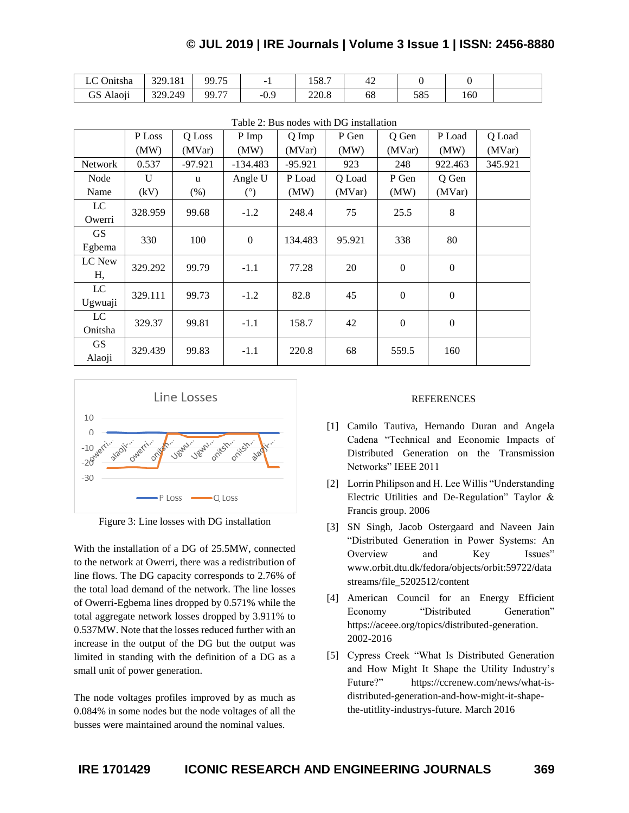## **© JUL 2019 | IRE Journals | Volume 3 Issue 1 | ISSN: 2456-8880**

| $\sim$<br>Onitsha                 | 329.181 | $- -$<br>QQ<br>ر ب             | -                 | 507<br>190.1 | ₩  |            |      |  |
|-----------------------------------|---------|--------------------------------|-------------------|--------------|----|------------|------|--|
| $\cdot$ $\cdot$<br>ี∩<br>GS Alaon | 329.249 | $\overline{\phantom{a}}$<br>QQ | ⌒<br>$-U_{\star}$ | 220.8        | oð | COC<br>ാറാ | ـ 60 |  |

|                     | P Loss       | Q Loss  | P Imp        | Q Imp     | P Gen  | Q Gen            | P Load           | Q Load  |
|---------------------|--------------|---------|--------------|-----------|--------|------------------|------------------|---------|
|                     | (MW)         | (MVar)  | (MW)         | (MVar)    | (MW)   | (MVar)           | (MW)             | (MVar)  |
| <b>Network</b>      | 0.537        | -97.921 | -134.483     | $-95.921$ | 923    | 248              | 922.463          | 345.921 |
| Node                | $\mathbf{U}$ | u       | Angle U      | P Load    | Q Load | P Gen            | Q Gen            |         |
| Name                | (kV)         | (% )    | (°)          | (MW)      | (MVar) | (MW)             | (MVar)           |         |
| LC<br>Owerri        | 328.959      | 99.68   | $-1.2$       | 248.4     | 75     | 25.5             | 8                |         |
| <b>GS</b><br>Egbema | 330          | 100     | $\mathbf{0}$ | 134.483   | 95.921 | 338              | 80               |         |
| LC New<br>Η,        | 329.292      | 99.79   | $-1.1$       | 77.28     | 20     | $\mathbf{0}$     | $\mathbf{0}$     |         |
| LC<br>Ugwuaji       | 329.111      | 99.73   | $-1.2$       | 82.8      | 45     | $\mathbf{0}$     | $\mathbf{0}$     |         |
| LC<br>Onitsha       | 329.37       | 99.81   | $-1.1$       | 158.7     | 42     | $\boldsymbol{0}$ | $\boldsymbol{0}$ |         |
| <b>GS</b><br>Alaoji | 329.439      | 99.83   | $-1.1$       | 220.8     | 68     | 559.5            | 160              |         |

Table 2: Bus nodes with DG installation



Figure 3: Line losses with DG installation

With the installation of a DG of 25.5MW, connected to the network at Owerri, there was a redistribution of line flows. The DG capacity corresponds to 2.76% of the total load demand of the network. The line losses of Owerri-Egbema lines dropped by 0.571% while the total aggregate network losses dropped by 3.911% to 0.537MW. Note that the losses reduced further with an increase in the output of the DG but the output was limited in standing with the definition of a DG as a small unit of power generation.

The node voltages profiles improved by as much as 0.084% in some nodes but the node voltages of all the busses were maintained around the nominal values.

### REFERENCES

- [1] Camilo Tautiva, Hernando Duran and Angela Cadena "Technical and Economic Impacts of Distributed Generation on the Transmission Networks" IEEE 2011
- [2] Lorrin Philipson and H. Lee Willis "Understanding Electric Utilities and De-Regulation" Taylor & Francis group. 2006
- [3] SN Singh, Jacob Ostergaard and Naveen Jain "Distributed Generation in Power Systems: An Overview and Key Issues" www.orbit.dtu.dk/fedora/objects/orbit:59722/data streams/file\_5202512/content
- [4] American Council for an Energy Efficient Economy "Distributed Generation" <https://aceee.org/topics/distributed-generation.> 2002-2016
- [5] Cypress Creek "What Is Distributed Generation and How Might It Shape the Utility Industry's Future?" https://ccrenew.com/news/what-isdistributed-generation-and-how-might-it-shapethe-utitlity-industrys-future. March 2016